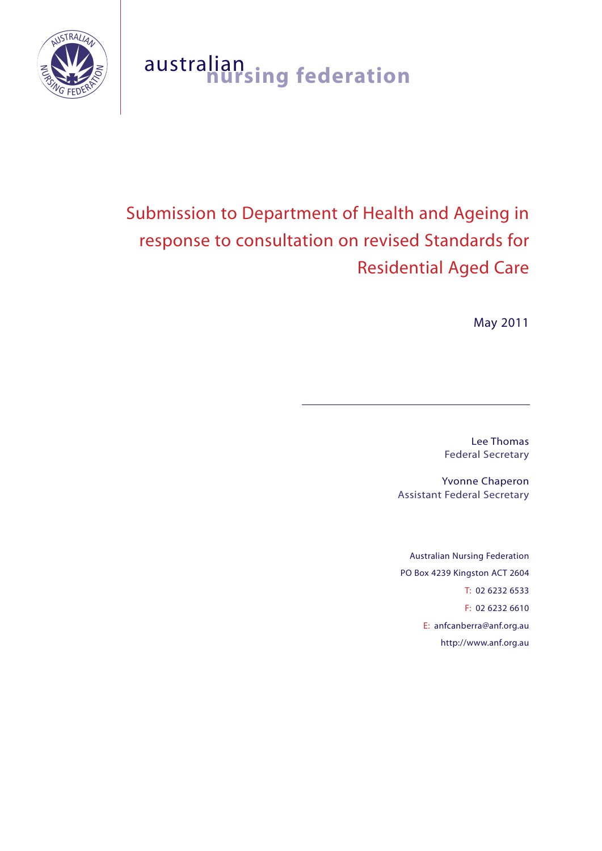

# australian **nursing federation**

# Submission to Department of Health and Ageing in response to consultation on revised Standards for Residential Aged Care

May 2011

Lee Thomas Federal Secretary

Yvonne Chaperon Assistant Federal Secretary

Australian Nursing Federation PO Box 4239 Kingston ACT 2604 T: 02 6232 6533 F: 02 6232 6610 E: anfcanberra@anf.org.au http://www.anf.org.au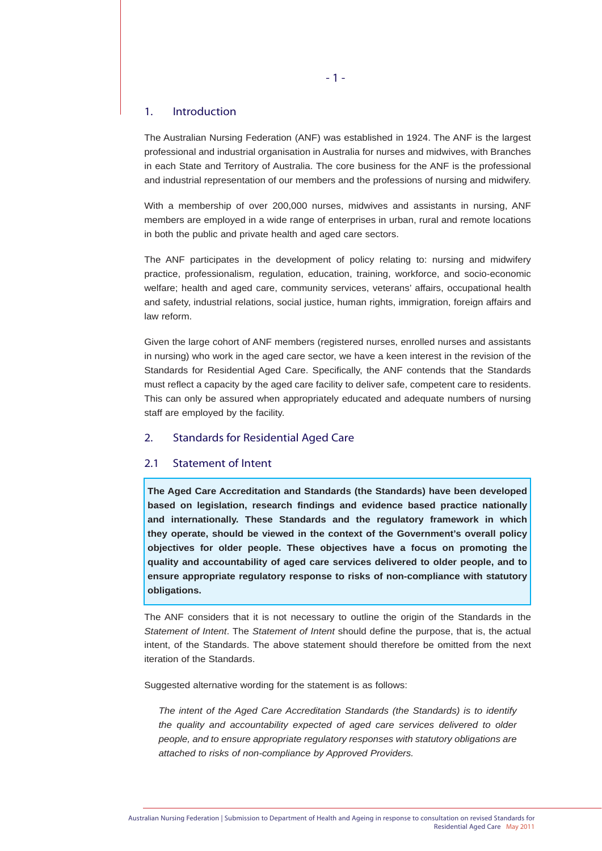# 1. Introduction

The Australian Nursing Federation (ANF) was established in 1924. The ANF is the largest professional and industrial organisation in Australia for nurses and midwives, with Branches in each State and Territory of Australia. The core business for the ANF is the professional and industrial representation of our members and the professions of nursing and midwifery.

With a membership of over 200,000 nurses, midwives and assistants in nursing, ANF members are employed in a wide range of enterprises in urban, rural and remote locations in both the public and private health and aged care sectors.

The ANF participates in the development of policy relating to: nursing and midwifery practice, professionalism, regulation, education, training, workforce, and socio-economic welfare; health and aged care, community services, veterans' affairs, occupational health and safety, industrial relations, social justice, human rights, immigration, foreign affairs and law reform.

Given the large cohort of ANF members (registered nurses, enrolled nurses and assistants in nursing) who work in the aged care sector, we have a keen interest in the revision of the Standards for Residential Aged Care. Specifically, the ANF contends that the Standards must reflect a capacity by the aged care facility to deliver safe, competent care to residents. This can only be assured when appropriately educated and adequate numbers of nursing staff are employed by the facility.

# 2. Standards for Residential Aged Care

# 2.1 Statement of Intent

**The Aged Care Accreditation and Standards (the Standards) have been developed based on legislation, research findings and evidence based practice nationally and internationally. These Standards and the regulatory framework in which they operate, should be viewed in the context of the Government's overall policy objectives for older people. These objectives have a focus on promoting the quality and accountability of aged care services delivered to older people, and to ensure appropriate regulatory response to risks of non-compliance with statutory obligations.**

The ANF considers that it is not necessary to outline the origin of the Standards in the *Statement of Intent*. The *Statement of Intent* should define the purpose, that is, the actual intent, of the Standards. The above statement should therefore be omitted from the next iteration of the Standards.

Suggested alternative wording for the statement is as follows:

*The intent of the Aged Care Accreditation Standards (the Standards) is to identify the quality and accountability expected of aged care services delivered to older people, and to ensure appropriate regulatory responses with statutory obligations are attached to risks of non-compliance by Approved Providers.*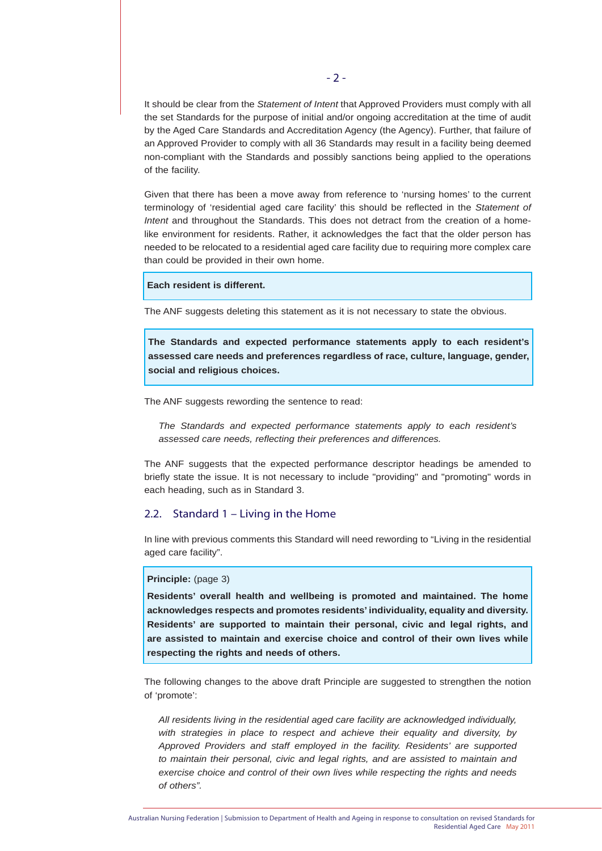It should be clear from the *Statement of Intent* that Approved Providers must comply with all the set Standards for the purpose of initial and/or ongoing accreditation at the time of audit by the Aged Care Standards and Accreditation Agency (the Agency). Further, that failure of an Approved Provider to comply with all 36 Standards may result in a facility being deemed non-compliant with the Standards and possibly sanctions being applied to the operations of the facility.

Given that there has been a move away from reference to 'nursing homes' to the current terminology of 'residential aged care facility' this should be reflected in the *Statement of Intent* and throughout the Standards. This does not detract from the creation of a homelike environment for residents. Rather, it acknowledges the fact that the older person has needed to be relocated to a residential aged care facility due to requiring more complex care than could be provided in their own home.

# **Each resident is different.**

The ANF suggests deleting this statement as it is not necessary to state the obvious.

**The Standards and expected performance statements apply to each resident's assessed care needs and preferences regardless of race, culture, language, gender, social and religious choices.**

The ANF suggests rewording the sentence to read:

*The Standards and expected performance statements apply to each resident's assessed care needs, reflecting their preferences and differences.*

The ANF suggests that the expected performance descriptor headings be amended to briefly state the issue. It is not necessary to include "providing" and "promoting" words in each heading, such as in Standard 3.

# 2.2. Standard 1 – Living in the Home

In line with previous comments this Standard will need rewording to "Living in the residential aged care facility".

# **Principle:** (page 3)

**Residents' overall health and wellbeing is promoted and maintained. The home acknowledges respects and promotes residents' individuality, equality and diversity. Residents' are supported to maintain their personal, civic and legal rights, and are assisted to maintain and exercise choice and control of their own lives while respecting the rights and needs of others.**

The following changes to the above draft Principle are suggested to strengthen the notion of 'promote':

*All residents living in the residential aged care facility are acknowledged individually, with strategies in place to respect and achieve their equality and diversity, by Approved Providers and staff employed in the facility. Residents' are supported to maintain their personal, civic and legal rights, and are assisted to maintain and exercise choice and control of their own lives while respecting the rights and needs of others".*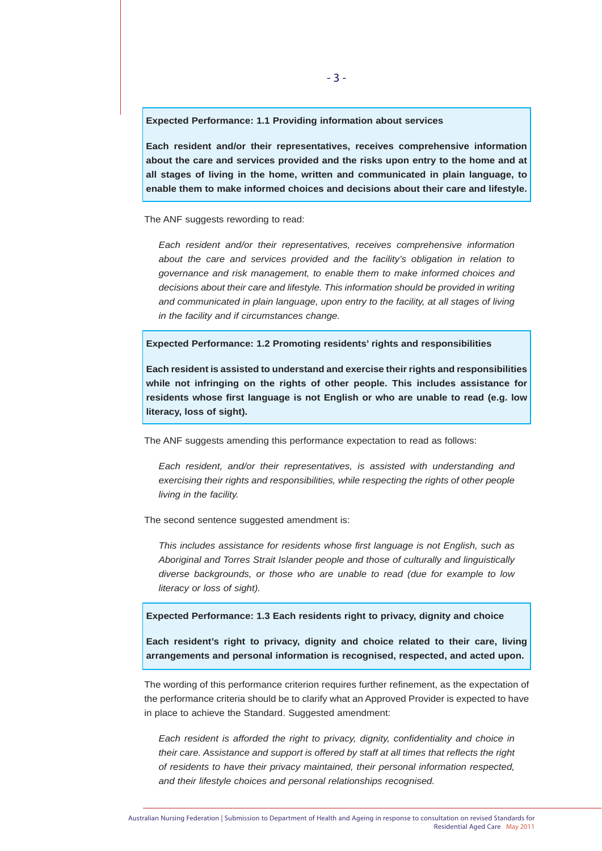**Expected Performance: 1.1 Providing information about services** 

**Each resident and/or their representatives, receives comprehensive information about the care and services provided and the risks upon entry to the home and at all stages of living in the home, written and communicated in plain language, to enable them to make informed choices and decisions about their care and lifestyle.**

The ANF suggests rewording to read:

*Each resident and/or their representatives, receives comprehensive information about the care and services provided and the facility's obligation in relation to governance and risk management, to enable them to make informed choices and decisions about their care and lifestyle. This information should be provided in writing and communicated in plain language, upon entry to the facility, at all stages of living in the facility and if circumstances change.*

**Expected Performance: 1.2 Promoting residents' rights and responsibilities**

**Each resident is assisted to understand and exercise their rights and responsibilities while not infringing on the rights of other people. This includes assistance for residents whose first language is not English or who are unable to read (e.g. low literacy, loss of sight).**

The ANF suggests amending this performance expectation to read as follows:

*Each resident, and/or their representatives, is assisted with understanding and exercising their rights and responsibilities, while respecting the rights of other people living in the facility.*

The second sentence suggested amendment is:

*This includes assistance for residents whose first language is not English, such as Aboriginal and Torres Strait Islander people and those of culturally and linguistically diverse backgrounds, or those who are unable to read (due for example to low literacy or loss of sight).*

**Expected Performance: 1.3 Each residents right to privacy, dignity and choice**

**Each resident's right to privacy, dignity and choice related to their care, living arrangements and personal information is recognised, respected, and acted upon.**

The wording of this performance criterion requires further refinement, as the expectation of the performance criteria should be to clarify what an Approved Provider is expected to have in place to achieve the Standard. Suggested amendment:

*Each resident is afforded the right to privacy, dignity, confidentiality and choice in their care. Assistance and support is offered by staff at all times that reflects the right of residents to have their privacy maintained, their personal information respected, and their lifestyle choices and personal relationships recognised.*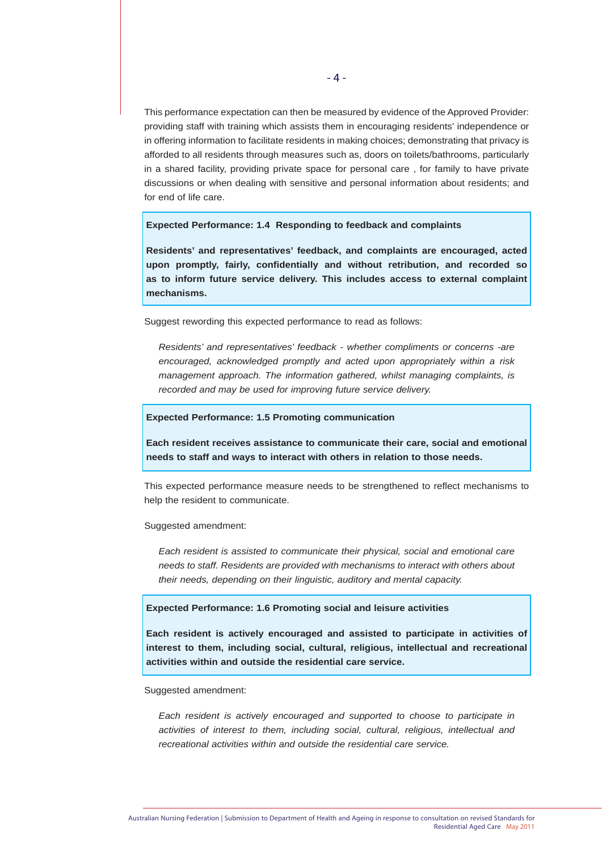This performance expectation can then be measured by evidence of the Approved Provider: providing staff with training which assists them in encouraging residents' independence or in offering information to facilitate residents in making choices; demonstrating that privacy is afforded to all residents through measures such as, doors on toilets/bathrooms, particularly in a shared facility, providing private space for personal care , for family to have private discussions or when dealing with sensitive and personal information about residents; and for end of life care.

#### **Expected Performance: 1.4 Responding to feedback and complaints**

**Residents' and representatives' feedback, and complaints are encouraged, acted upon promptly, fairly, confidentially and without retribution, and recorded so as to inform future service delivery. This includes access to external complaint mechanisms.**

Suggest rewording this expected performance to read as follows:

*Residents' and representatives' feedback - whether compliments or concerns -are encouraged, acknowledged promptly and acted upon appropriately within a risk management approach. The information gathered, whilst managing complaints, is recorded and may be used for improving future service delivery.*

#### **Expected Performance: 1.5 Promoting communication**

**Each resident receives assistance to communicate their care, social and emotional needs to staff and ways to interact with others in relation to those needs.**

This expected performance measure needs to be strengthened to reflect mechanisms to help the resident to communicate.

Suggested amendment:

*Each resident is assisted to communicate their physical, social and emotional care needs to staff. Residents are provided with mechanisms to interact with others about their needs, depending on their linguistic, auditory and mental capacity.*

# **Expected Performance: 1.6 Promoting social and leisure activities**

**Each resident is actively encouraged and assisted to participate in activities of interest to them, including social, cultural, religious, intellectual and recreational activities within and outside the residential care service.**

Suggested amendment:

*Each resident is actively encouraged and supported to choose to participate in activities of interest to them, including social, cultural, religious, intellectual and recreational activities within and outside the residential care service.*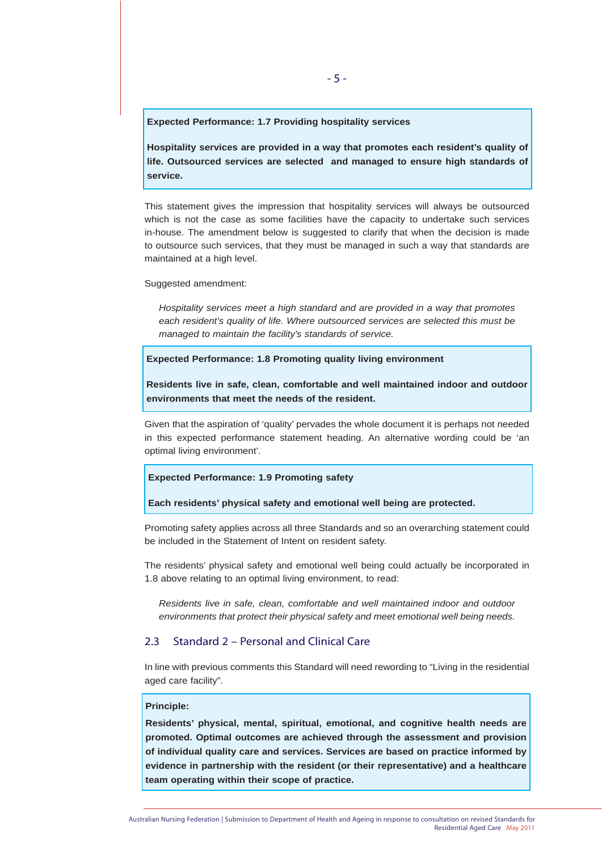#### **Expected Performance: 1.7 Providing hospitality services**

**Hospitality services are provided in a way that promotes each resident's quality of life. Outsourced services are selected and managed to ensure high standards of service.**

This statement gives the impression that hospitality services will always be outsourced which is not the case as some facilities have the capacity to undertake such services in-house. The amendment below is suggested to clarify that when the decision is made to outsource such services, that they must be managed in such a way that standards are maintained at a high level.

Suggested amendment:

*Hospitality services meet a high standard and are provided in a way that promotes each resident's quality of life. Where outsourced services are selected this must be managed to maintain the facility's standards of service.*

# **Expected Performance: 1.8 Promoting quality living environment**

**Residents live in safe, clean, comfortable and well maintained indoor and outdoor environments that meet the needs of the resident.**

Given that the aspiration of 'quality' pervades the whole document it is perhaps not needed in this expected performance statement heading. An alternative wording could be 'an optimal living environment'.

#### **Expected Performance: 1.9 Promoting safety**

**Each residents' physical safety and emotional well being are protected.**

Promoting safety applies across all three Standards and so an overarching statement could be included in the Statement of Intent on resident safety.

The residents' physical safety and emotional well being could actually be incorporated in 1.8 above relating to an optimal living environment, to read:

*Residents live in safe, clean, comfortable and well maintained indoor and outdoor environments that protect their physical safety and meet emotional well being needs.*

# 2.3 Standard 2 – Personal and Clinical Care

In line with previous comments this Standard will need rewording to "Living in the residential aged care facility".

#### **Principle:**

**Residents' physical, mental, spiritual, emotional, and cognitive health needs are promoted. Optimal outcomes are achieved through the assessment and provision of individual quality care and services. Services are based on practice informed by evidence in partnership with the resident (or their representative) and a healthcare team operating within their scope of practice.**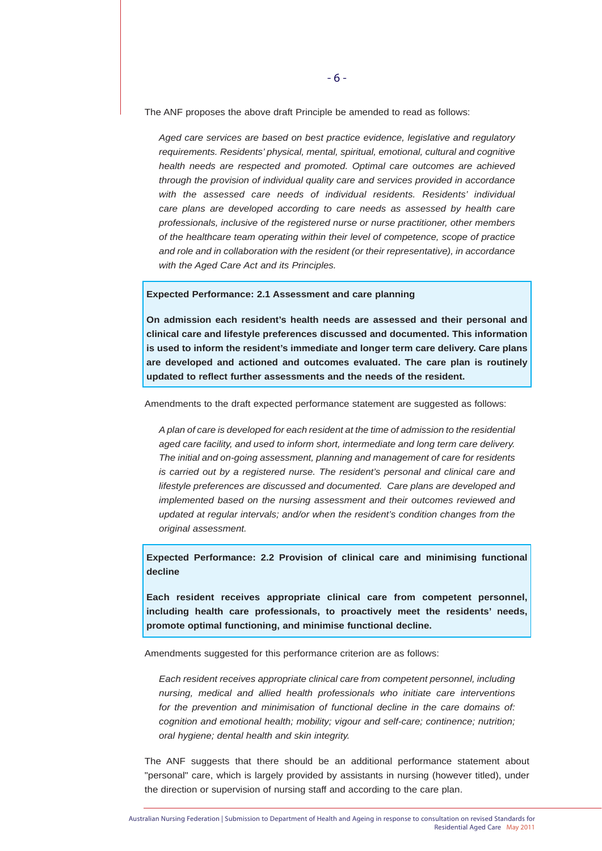The ANF proposes the above draft Principle be amended to read as follows:

*Aged care services are based on best practice evidence, legislative and regulatory requirements. Residents' physical, mental, spiritual, emotional, cultural and cognitive health needs are respected and promoted. Optimal care outcomes are achieved through the provision of individual quality care and services provided in accordance with the assessed care needs of individual residents. Residents' individual care plans are developed according to care needs as assessed by health care professionals, inclusive of the registered nurse or nurse practitioner, other members of the healthcare team operating within their level of competence, scope of practice and role and in collaboration with the resident (or their representative), in accordance with the Aged Care Act and its Principles.*

#### **Expected Performance: 2.1 Assessment and care planning**

**On admission each resident's health needs are assessed and their personal and clinical care and lifestyle preferences discussed and documented. This information is used to inform the resident's immediate and longer term care delivery. Care plans are developed and actioned and outcomes evaluated. The care plan is routinely updated to reflect further assessments and the needs of the resident.**

Amendments to the draft expected performance statement are suggested as follows:

*A plan of care is developed for each resident at the time of admission to the residential aged care facility, and used to inform short, intermediate and long term care delivery. The initial and on-going assessment, planning and management of care for residents is carried out by a registered nurse. The resident's personal and clinical care and lifestyle preferences are discussed and documented. Care plans are developed and implemented based on the nursing assessment and their outcomes reviewed and updated at regular intervals; and/or when the resident's condition changes from the original assessment.*

**Expected Performance: 2.2 Provision of clinical care and minimising functional decline**

**Each resident receives appropriate clinical care from competent personnel, including health care professionals, to proactively meet the residents' needs, promote optimal functioning, and minimise functional decline.**

Amendments suggested for this performance criterion are as follows:

*Each resident receives appropriate clinical care from competent personnel, including nursing, medical and allied health professionals who initiate care interventions for the prevention and minimisation of functional decline in the care domains of: cognition and emotional health; mobility; vigour and self-care; continence; nutrition; oral hygiene; dental health and skin integrity.*

The ANF suggests that there should be an additional performance statement about "personal" care, which is largely provided by assistants in nursing (however titled), under the direction or supervision of nursing staff and according to the care plan.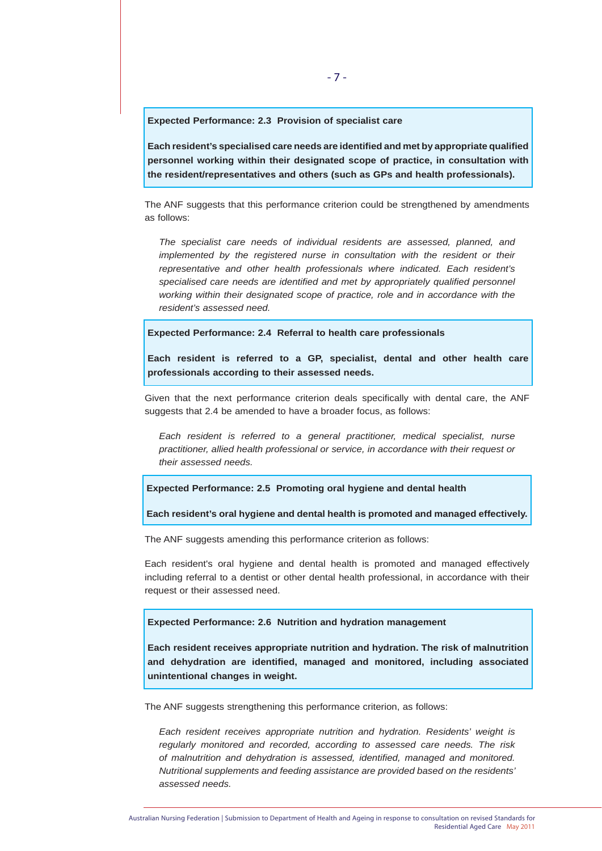**Expected Performance: 2.3 Provision of specialist care**

**Each resident's specialised care needs are identified and met by appropriate qualified personnel working within their designated scope of practice, in consultation with the resident/representatives and others (such as GPs and health professionals).** 

The ANF suggests that this performance criterion could be strengthened by amendments as follows:

*The specialist care needs of individual residents are assessed, planned, and implemented by the registered nurse in consultation with the resident or their representative and other health professionals where indicated. Each resident's specialised care needs are identified and met by appropriately qualified personnel working within their designated scope of practice, role and in accordance with the resident's assessed need.*

**Expected Performance: 2.4 Referral to health care professionals**

**Each resident is referred to a GP, specialist, dental and other health care professionals according to their assessed needs.** 

Given that the next performance criterion deals specifically with dental care, the ANF suggests that 2.4 be amended to have a broader focus, as follows:

*Each resident is referred to a general practitioner, medical specialist, nurse practitioner, allied health professional or service, in accordance with their request or their assessed needs.*

**Expected Performance: 2.5 Promoting oral hygiene and dental health**

**Each resident's oral hygiene and dental health is promoted and managed effectively.**

The ANF suggests amending this performance criterion as follows:

Each resident's oral hygiene and dental health is promoted and managed effectively including referral to a dentist or other dental health professional, in accordance with their request or their assessed need.

**Expected Performance: 2.6 Nutrition and hydration management**

**Each resident receives appropriate nutrition and hydration. The risk of malnutrition and dehydration are identified, managed and monitored, including associated unintentional changes in weight.**

The ANF suggests strengthening this performance criterion, as follows:

*Each resident receives appropriate nutrition and hydration. Residents' weight is regularly monitored and recorded, according to assessed care needs. The risk of malnutrition and dehydration is assessed, identified, managed and monitored. Nutritional supplements and feeding assistance are provided based on the residents' assessed needs.*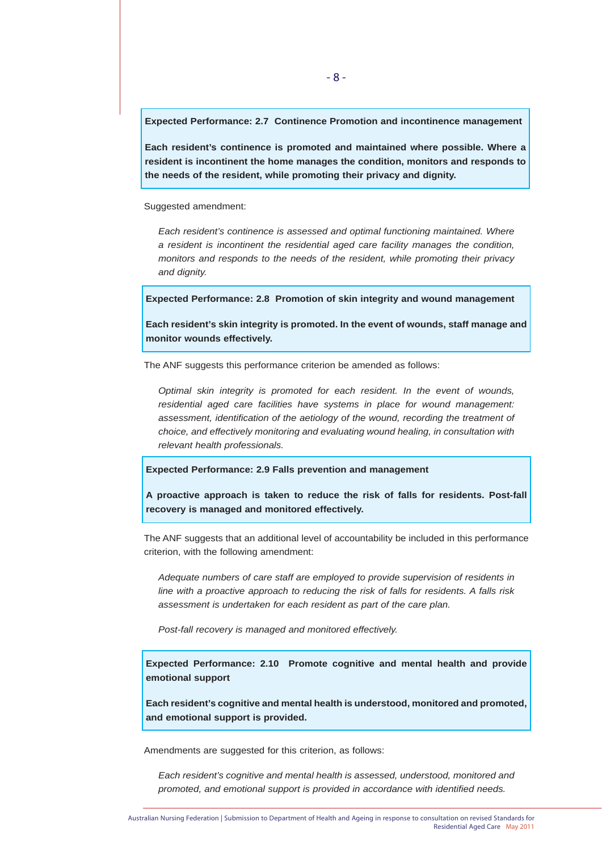**Expected Performance: 2.7 Continence Promotion and incontinence management**

**Each resident's continence is promoted and maintained where possible. Where a resident is incontinent the home manages the condition, monitors and responds to the needs of the resident, while promoting their privacy and dignity.**

Suggested amendment:

*Each resident's continence is assessed and optimal functioning maintained. Where a resident is incontinent the residential aged care facility manages the condition, monitors and responds to the needs of the resident, while promoting their privacy and dignity.*

**Expected Performance: 2.8 Promotion of skin integrity and wound management**

**Each resident's skin integrity is promoted. In the event of wounds, staff manage and monitor wounds effectively.**

The ANF suggests this performance criterion be amended as follows:

*Optimal skin integrity is promoted for each resident. In the event of wounds, residential aged care facilities have systems in place for wound management: assessment, identification of the aetiology of the wound, recording the treatment of choice, and effectively monitoring and evaluating wound healing, in consultation with relevant health professionals.*

**Expected Performance: 2.9 Falls prevention and management**

**A proactive approach is taken to reduce the risk of falls for residents. Post-fall recovery is managed and monitored effectively.**

The ANF suggests that an additional level of accountability be included in this performance criterion, with the following amendment:

*Adequate numbers of care staff are employed to provide supervision of residents in line with a proactive approach to reducing the risk of falls for residents. A falls risk assessment is undertaken for each resident as part of the care plan.*

*Post-fall recovery is managed and monitored effectively.*

**Expected Performance: 2.10 Promote cognitive and mental health and provide emotional support**

**Each resident's cognitive and mental health is understood, monitored and promoted, and emotional support is provided.**

Amendments are suggested for this criterion, as follows:

*Each resident's cognitive and mental health is assessed, understood, monitored and promoted, and emotional support is provided in accordance with identified needs.*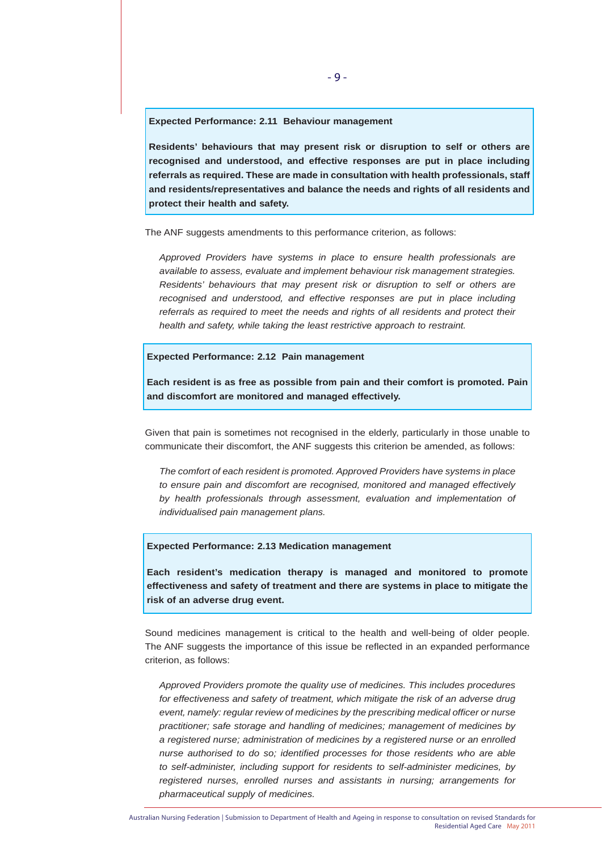#### **Expected Performance: 2.11 Behaviour management**

**Residents' behaviours that may present risk or disruption to self or others are recognised and understood, and effective responses are put in place including referrals as required. These are made in consultation with health professionals, staff and residents/representatives and balance the needs and rights of all residents and protect their health and safety.**

The ANF suggests amendments to this performance criterion, as follows:

*Approved Providers have systems in place to ensure health professionals are available to assess, evaluate and implement behaviour risk management strategies. Residents' behaviours that may present risk or disruption to self or others are recognised and understood, and effective responses are put in place including referrals as required to meet the needs and rights of all residents and protect their health and safety, while taking the least restrictive approach to restraint.*

#### **Expected Performance: 2.12 Pain management**

**Each resident is as free as possible from pain and their comfort is promoted. Pain and discomfort are monitored and managed effectively.**

Given that pain is sometimes not recognised in the elderly, particularly in those unable to communicate their discomfort, the ANF suggests this criterion be amended, as follows:

*The comfort of each resident is promoted. Approved Providers have systems in place to ensure pain and discomfort are recognised, monitored and managed effectively*  by health professionals through assessment, evaluation and implementation of *individualised pain management plans.* 

# **Expected Performance: 2.13 Medication management**

**Each resident's medication therapy is managed and monitored to promote effectiveness and safety of treatment and there are systems in place to mitigate the risk of an adverse drug event.**

Sound medicines management is critical to the health and well-being of older people. The ANF suggests the importance of this issue be reflected in an expanded performance criterion, as follows:

*Approved Providers promote the quality use of medicines. This includes procedures for effectiveness and safety of treatment, which mitigate the risk of an adverse drug event, namely: regular review of medicines by the prescribing medical officer or nurse practitioner; safe storage and handling of medicines; management of medicines by a registered nurse; administration of medicines by a registered nurse or an enrolled nurse authorised to do so; identified processes for those residents who are able to self-administer, including support for residents to self-administer medicines, by registered nurses, enrolled nurses and assistants in nursing; arrangements for pharmaceutical supply of medicines.*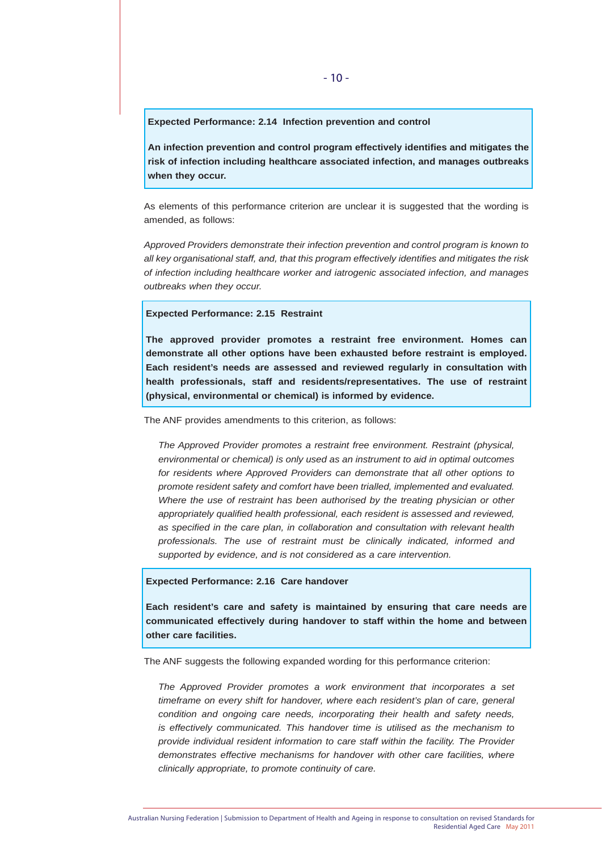#### **Expected Performance: 2.14 Infection prevention and control**

**An infection prevention and control program effectively identifies and mitigates the risk of infection including healthcare associated infection, and manages outbreaks when they occur.**

As elements of this performance criterion are unclear it is suggested that the wording is amended, as follows:

*Approved Providers demonstrate their infection prevention and control program is known to all key organisational staff, and, that this program effectively identifies and mitigates the risk of infection including healthcare worker and iatrogenic associated infection, and manages outbreaks when they occur.*

#### **Expected Performance: 2.15 Restraint**

**The approved provider promotes a restraint free environment. Homes can demonstrate all other options have been exhausted before restraint is employed. Each resident's needs are assessed and reviewed regularly in consultation with health professionals, staff and residents/representatives. The use of restraint (physical, environmental or chemical) is informed by evidence.**

The ANF provides amendments to this criterion, as follows:

*The Approved Provider promotes a restraint free environment. Restraint (physical, environmental or chemical) is only used as an instrument to aid in optimal outcomes for residents where Approved Providers can demonstrate that all other options to promote resident safety and comfort have been trialled, implemented and evaluated. Where the use of restraint has been authorised by the treating physician or other appropriately qualified health professional, each resident is assessed and reviewed, as specified in the care plan, in collaboration and consultation with relevant health professionals. The use of restraint must be clinically indicated, informed and supported by evidence, and is not considered as a care intervention.*

#### **Expected Performance: 2.16 Care handover**

**Each resident's care and safety is maintained by ensuring that care needs are communicated effectively during handover to staff within the home and between other care facilities.**

The ANF suggests the following expanded wording for this performance criterion:

*The Approved Provider promotes a work environment that incorporates a set timeframe on every shift for handover, where each resident's plan of care, general condition and ongoing care needs, incorporating their health and safety needs, is effectively communicated. This handover time is utilised as the mechanism to provide individual resident information to care staff within the facility. The Provider demonstrates effective mechanisms for handover with other care facilities, where clinically appropriate, to promote continuity of care.*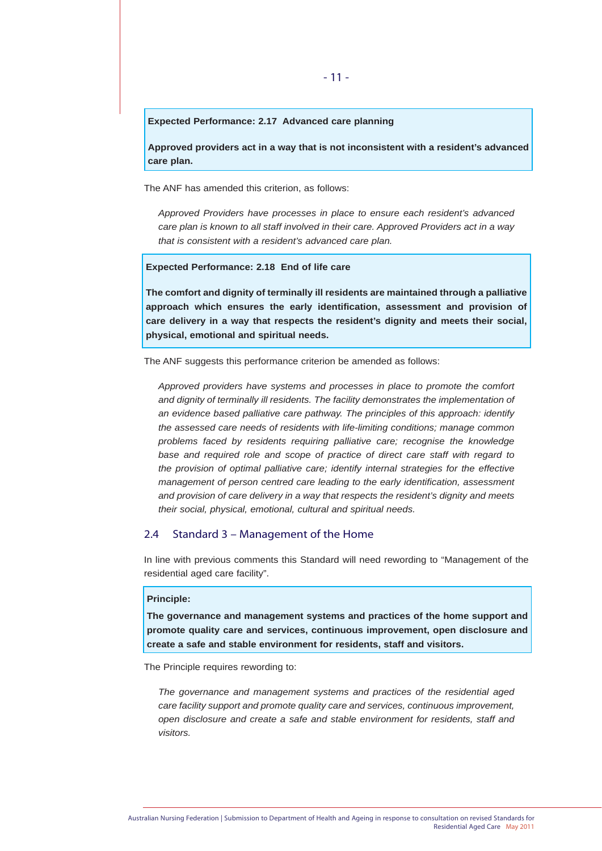#### **Expected Performance: 2.17 Advanced care planning**

**Approved providers act in a way that is not inconsistent with a resident's advanced care plan.**

The ANF has amended this criterion, as follows:

*Approved Providers have processes in place to ensure each resident's advanced care plan is known to all staff involved in their care. Approved Providers act in a way that is consistent with a resident's advanced care plan.*

#### **Expected Performance: 2.18 End of life care**

**The comfort and dignity of terminally ill residents are maintained through a palliative approach which ensures the early identification, assessment and provision of care delivery in a way that respects the resident's dignity and meets their social, physical, emotional and spiritual needs.**

The ANF suggests this performance criterion be amended as follows:

*Approved providers have systems and processes in place to promote the comfort*  and dignity of terminally ill residents. The facility demonstrates the implementation of *an evidence based palliative care pathway. The principles of this approach: identify the assessed care needs of residents with life-limiting conditions; manage common problems faced by residents requiring palliative care; recognise the knowledge base and required role and scope of practice of direct care staff with regard to the provision of optimal palliative care; identify internal strategies for the effective management of person centred care leading to the early identification, assessment and provision of care delivery in a way that respects the resident's dignity and meets their social, physical, emotional, cultural and spiritual needs.*

# 2.4 Standard 3 – Management of the Home

In line with previous comments this Standard will need rewording to "Management of the residential aged care facility".

# **Principle:**

**The governance and management systems and practices of the home support and promote quality care and services, continuous improvement, open disclosure and create a safe and stable environment for residents, staff and visitors.**

The Principle requires rewording to:

*The governance and management systems and practices of the residential aged care facility support and promote quality care and services, continuous improvement, open disclosure and create a safe and stable environment for residents, staff and visitors.*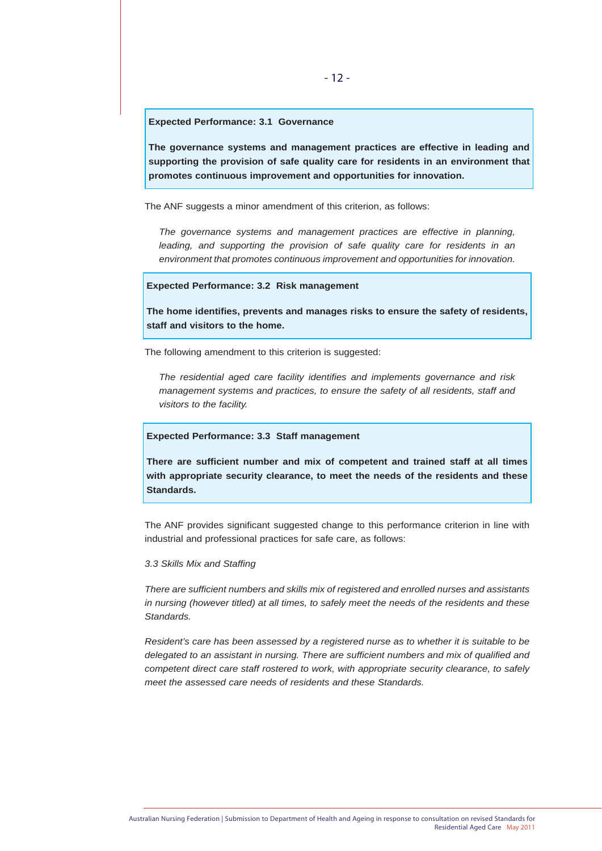#### **Expected Performance: 3.1 Governance**

**The governance systems and management practices are effective in leading and supporting the provision of safe quality care for residents in an environment that promotes continuous improvement and opportunities for innovation.**

The ANF suggests a minor amendment of this criterion, as follows:

*The governance systems and management practices are effective in planning, leading, and supporting the provision of safe quality care for residents in an environment that promotes continuous improvement and opportunities for innovation.*

#### **Expected Performance: 3.2 Risk management**

**The home identifies, prevents and manages risks to ensure the safety of residents, staff and visitors to the home.**

The following amendment to this criterion is suggested:

*The residential aged care facility identifies and implements governance and risk management systems and practices, to ensure the safety of all residents, staff and visitors to the facility.*

#### **Expected Performance: 3.3 Staff management**

**There are sufficient number and mix of competent and trained staff at all times with appropriate security clearance, to meet the needs of the residents and these Standards.**

The ANF provides significant suggested change to this performance criterion in line with industrial and professional practices for safe care, as follows:

#### *3.3 Skills Mix and Staffing*

*There are sufficient numbers and skills mix of registered and enrolled nurses and assistants in nursing (however titled) at all times, to safely meet the needs of the residents and these Standards.*

*Resident's care has been assessed by a registered nurse as to whether it is suitable to be delegated to an assistant in nursing. There are sufficient numbers and mix of qualified and competent direct care staff rostered to work, with appropriate security clearance, to safely meet the assessed care needs of residents and these Standards.*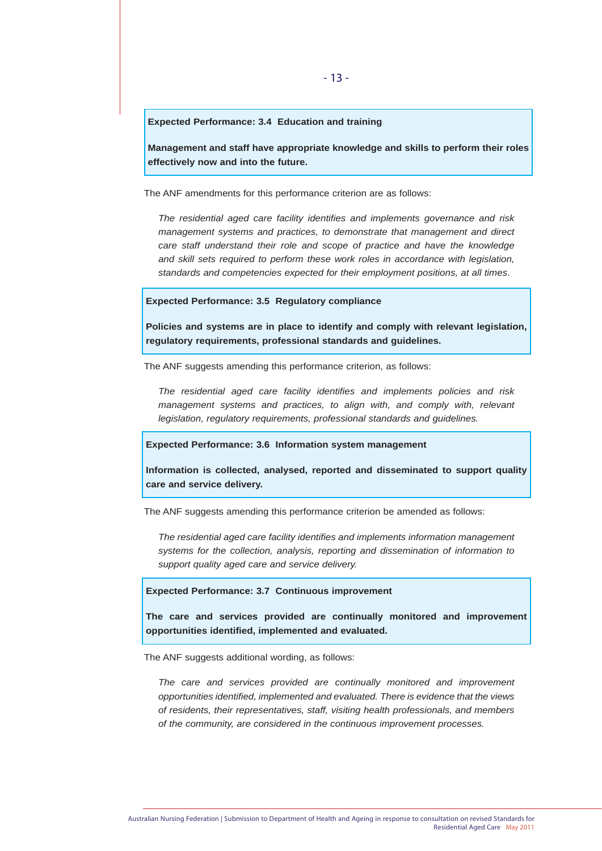#### **Expected Performance: 3.4 Education and training**

**Management and staff have appropriate knowledge and skills to perform their roles effectively now and into the future.**

The ANF amendments for this performance criterion are as follows:

*The residential aged care facility identifies and implements governance and risk management systems and practices, to demonstrate that management and direct care staff understand their role and scope of practice and have the knowledge and skill sets required to perform these work roles in accordance with legislation, standards and competencies expected for their employment positions, at all times*.

#### **Expected Performance: 3.5 Regulatory compliance**

**Policies and systems are in place to identify and comply with relevant legislation, regulatory requirements, professional standards and guidelines.**

The ANF suggests amending this performance criterion, as follows:

*The residential aged care facility identifies and implements policies and risk*  management systems and practices, to align with, and comply with, relevant *legislation, regulatory requirements, professional standards and guidelines.*

#### **Expected Performance: 3.6 Information system management**

**Information is collected, analysed, reported and disseminated to support quality care and service delivery.** 

The ANF suggests amending this performance criterion be amended as follows:

*The residential aged care facility identifies and implements information management systems for the collection, analysis, reporting and dissemination of information to support quality aged care and service delivery.*

#### **Expected Performance: 3.7 Continuous improvement**

**The care and services provided are continually monitored and improvement opportunities identified, implemented and evaluated.**

The ANF suggests additional wording, as follows:

*The care and services provided are continually monitored and improvement opportunities identified, implemented and evaluated. There is evidence that the views of residents, their representatives, staff, visiting health professionals, and members of the community, are considered in the continuous improvement processes.*